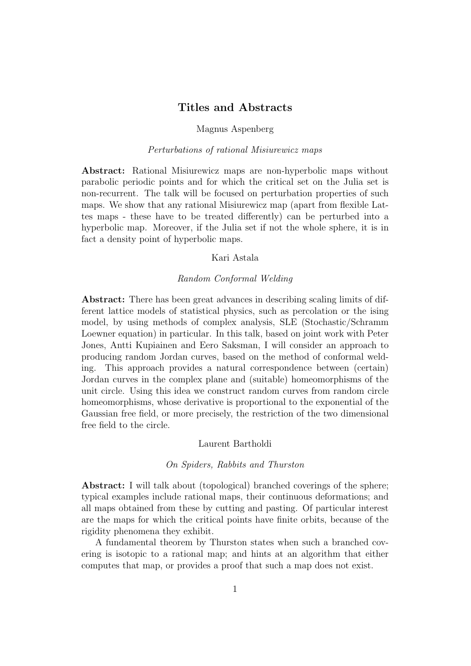# Titles and Abstracts

## Magnus Aspenberg

## Perturbations of rational Misiurewicz maps

Abstract: Rational Misiurewicz maps are non-hyperbolic maps without parabolic periodic points and for which the critical set on the Julia set is non-recurrent. The talk will be focused on perturbation properties of such maps. We show that any rational Misiurewicz map (apart from flexible Lattes maps - these have to be treated differently) can be perturbed into a hyperbolic map. Moreover, if the Julia set if not the whole sphere, it is in fact a density point of hyperbolic maps.

## Kari Astala

## Random Conformal Welding

Abstract: There has been great advances in describing scaling limits of different lattice models of statistical physics, such as percolation or the ising model, by using methods of complex analysis, SLE (Stochastic/Schramm Loewner equation) in particular. In this talk, based on joint work with Peter Jones, Antti Kupiainen and Eero Saksman, I will consider an approach to producing random Jordan curves, based on the method of conformal welding. This approach provides a natural correspondence between (certain) Jordan curves in the complex plane and (suitable) homeomorphisms of the unit circle. Using this idea we construct random curves from random circle homeomorphisms, whose derivative is proportional to the exponential of the Gaussian free field, or more precisely, the restriction of the two dimensional free field to the circle.

## Laurent Bartholdi

#### On Spiders, Rabbits and Thurston

Abstract: I will talk about (topological) branched coverings of the sphere; typical examples include rational maps, their continuous deformations; and all maps obtained from these by cutting and pasting. Of particular interest are the maps for which the critical points have finite orbits, because of the rigidity phenomena they exhibit.

A fundamental theorem by Thurston states when such a branched covering is isotopic to a rational map; and hints at an algorithm that either computes that map, or provides a proof that such a map does not exist.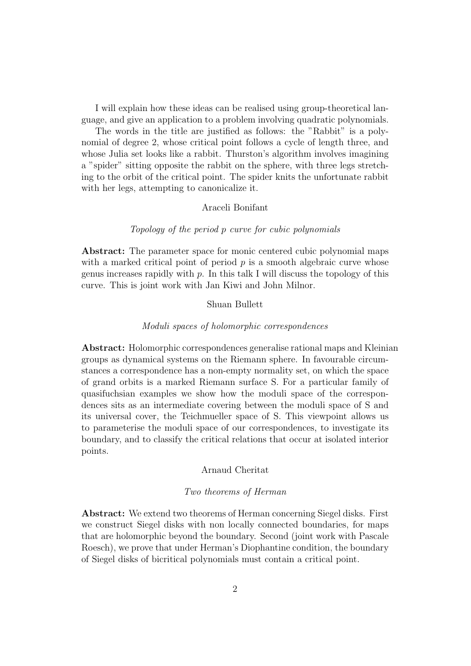I will explain how these ideas can be realised using group-theoretical language, and give an application to a problem involving quadratic polynomials.

The words in the title are justified as follows: the "Rabbit" is a polynomial of degree 2, whose critical point follows a cycle of length three, and whose Julia set looks like a rabbit. Thurston's algorithm involves imagining a "spider" sitting opposite the rabbit on the sphere, with three legs stretching to the orbit of the critical point. The spider knits the unfortunate rabbit with her legs, attempting to canonicalize it.

# Araceli Bonifant

# Topology of the period p curve for cubic polynomials

Abstract: The parameter space for monic centered cubic polynomial maps with a marked critical point of period  $p$  is a smooth algebraic curve whose genus increases rapidly with  $p$ . In this talk I will discuss the topology of this curve. This is joint work with Jan Kiwi and John Milnor.

## Shuan Bullett

#### Moduli spaces of holomorphic correspondences

Abstract: Holomorphic correspondences generalise rational maps and Kleinian groups as dynamical systems on the Riemann sphere. In favourable circumstances a correspondence has a non-empty normality set, on which the space of grand orbits is a marked Riemann surface S. For a particular family of quasifuchsian examples we show how the moduli space of the correspondences sits as an intermediate covering between the moduli space of S and its universal cover, the Teichmueller space of S. This viewpoint allows us to parameterise the moduli space of our correspondences, to investigate its boundary, and to classify the critical relations that occur at isolated interior points.

## Arnaud Cheritat

## Two theorems of Herman

Abstract: We extend two theorems of Herman concerning Siegel disks. First we construct Siegel disks with non locally connected boundaries, for maps that are holomorphic beyond the boundary. Second (joint work with Pascale Roesch), we prove that under Herman's Diophantine condition, the boundary of Siegel disks of bicritical polynomials must contain a critical point.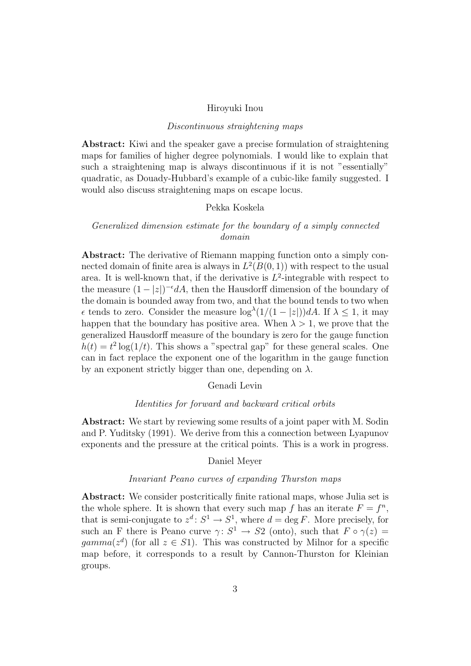#### Hiroyuki Inou

## Discontinuous straightening maps

Abstract: Kiwi and the speaker gave a precise formulation of straightening maps for families of higher degree polynomials. I would like to explain that such a straightening map is always discontinuous if it is not "essentially" quadratic, as Douady-Hubbard's example of a cubic-like family suggested. I would also discuss straightening maps on escape locus.

# Pekka Koskela

# Generalized dimension estimate for the boundary of a simply connected domain

Abstract: The derivative of Riemann mapping function onto a simply connected domain of finite area is always in  $L^2(B(0,1))$  with respect to the usual area. It is well-known that, if the derivative is  $L^2$ -integrable with respect to the measure  $(1-|z|)^{-\epsilon}dA$ , then the Hausdorff dimension of the boundary of the domain is bounded away from two, and that the bound tends to two when  $\epsilon$  tends to zero. Consider the measure  $\log^{\lambda}(1/(1-|z|))dA$ . If  $\lambda \leq 1$ , it may happen that the boundary has positive area. When  $\lambda > 1$ , we prove that the generalized Hausdorff measure of the boundary is zero for the gauge function  $h(t) = t^2 \log(1/t)$ . This shows a "spectral gap" for these general scales. One can in fact replace the exponent one of the logarithm in the gauge function by an exponent strictly bigger than one, depending on  $\lambda$ .

## Genadi Levin

## Identities for forward and backward critical orbits

Abstract: We start by reviewing some results of a joint paper with M. Sodin and P. Yuditsky (1991). We derive from this a connection between Lyapunov exponents and the pressure at the critical points. This is a work in progress.

## Daniel Meyer

#### Invariant Peano curves of expanding Thurston maps

Abstract: We consider postcritically finite rational maps, whose Julia set is the whole sphere. It is shown that every such map f has an iterate  $F = f^n$ , that is semi-conjugate to  $z^d: S^1 \to S^1$ , where  $d = \deg F$ . More precisely, for such an F there is Peano curve  $\gamma: S^1 \to S^2$  (onto), such that  $F \circ \gamma(z) =$ gamma( $z^d$ ) (for all  $z \in S_1$ ). This was constructed by Milnor for a specific map before, it corresponds to a result by Cannon-Thurston for Kleinian groups.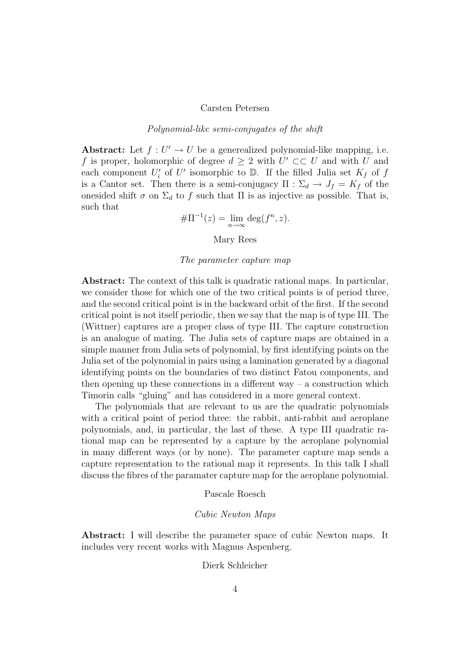#### Carsten Petersen

# Polynomial-like semi-conjugates of the shift

Abstract: Let  $f: U' \to U$  be a generealized polynomial-like mapping, i.e. f is proper, holomorphic of degree  $d \geq 2$  with  $U' \subset\subset U$  and with U and each component  $U_i'$  of  $U'$  isomorphic to  $\mathbb{D}$ . If the filled Julia set  $K_f$  of f is a Cantor set. Then there is a semi-conjugacy  $\Pi : \Sigma_d \to J_f = K_f$  of the onesided shift  $\sigma$  on  $\Sigma_d$  to f such that  $\Pi$  is as injective as possible. That is, such that

$$
\#\Pi^{-1}(z) = \lim_{n \to \infty} \deg(f^n, z).
$$

Mary Rees

#### The parameter capture map

Abstract: The context of this talk is quadratic rational maps. In particular, we consider those for which one of the two critical points is of period three, and the second critical point is in the backward orbit of the first. If the second critical point is not itself periodic, then we say that the map is of type III. The (Wittner) captures are a proper class of type III. The capture construction is an analogue of mating. The Julia sets of capture maps are obtained in a simple manner from Julia sets of polynomial, by first identifying points on the Julia set of the polynomial in pairs using a lamination generated by a diagonal identifying points on the boundaries of two distinct Fatou components, and then opening up these connections in a different way  $-$  a construction which Timorin calls "gluing" and has considered in a more general context.

The polynomials that are relevant to us are the quadratic polynomials with a critical point of period three: the rabbit, anti-rabbit and aeroplane polynomials, and, in particular, the last of these. A type III quadratic rational map can be represented by a capture by the aeroplane polynomial in many different ways (or by none). The parameter capture map sends a capture representation to the rational map it represents. In this talk I shall discuss the fibres of the paramater capture map for the aeroplane polynomial.

Pascale Roesch

## Cubic Newton Maps

Abstract: I will describe the parameter space of cubic Newton maps. It includes very recent works with Magnus Aspenberg.

#### Dierk Schleicher